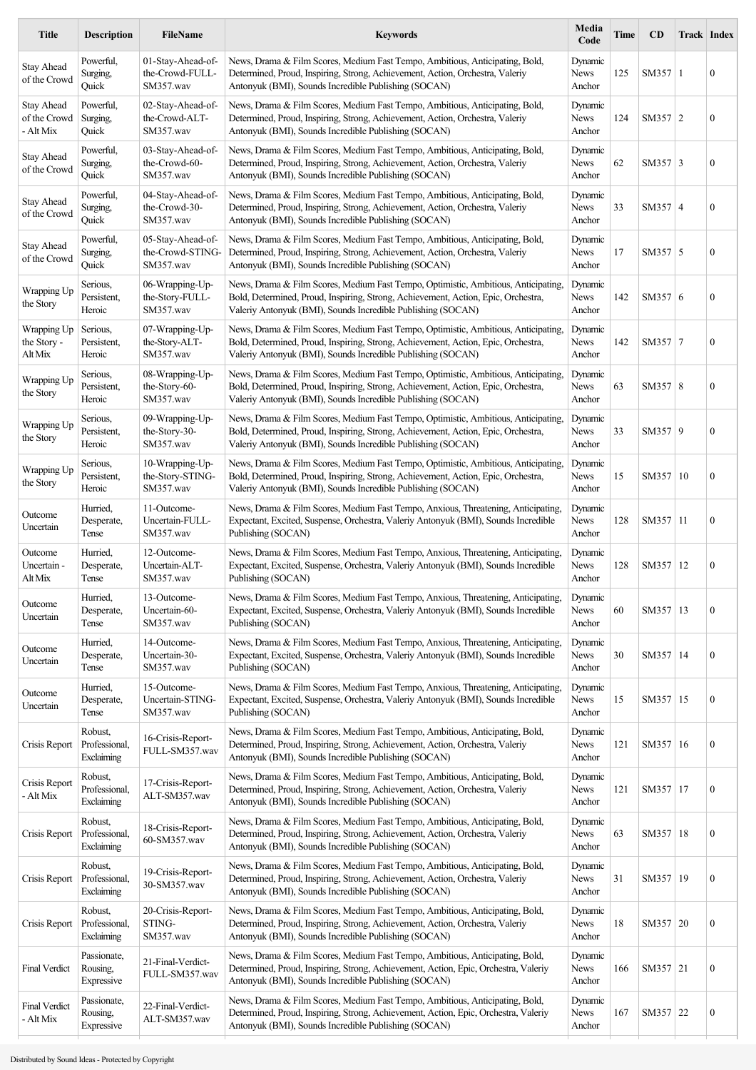| <b>Title</b>                                   | <b>Description</b>                     | <b>FileName</b>                                    | <b>Keywords</b>                                                                                                                                                                                                                         | Media<br>Code                    | Time | CD          | Track   Index |                  |
|------------------------------------------------|----------------------------------------|----------------------------------------------------|-----------------------------------------------------------------------------------------------------------------------------------------------------------------------------------------------------------------------------------------|----------------------------------|------|-------------|---------------|------------------|
| <b>Stay Ahead</b><br>of the Crowd              | Powerful,<br>Surging,<br>Quick         | 01-Stav-Ahead-of-<br>the-Crowd-FULL-<br>SM357.wav  | News, Drama & Film Scores, Medium Fast Tempo, Ambitious, Anticipating, Bold,<br>Determined, Proud, Inspiring, Strong, Achievement, Action, Orchestra, Valeriy<br>Antonyuk (BMI), Sounds Incredible Publishing (SOCAN)                   | Dynamic<br>News<br>Anchor        | 125  | SM357 1     |               | $\mathbf{0}$     |
| <b>Stay Ahead</b><br>of the Crowd<br>- Alt Mix | Powerful,<br>Surging,<br>Ouick         | 02-Stav-Ahead-of-<br>the-Crowd-ALT-<br>SM357.wav   | News, Drama & Film Scores, Medium Fast Tempo, Ambitious, Anticipating, Bold,<br>Determined, Proud, Inspiring, Strong, Achievement, Action, Orchestra, Valeriy<br>Antonyuk (BMI), Sounds Incredible Publishing (SOCAN)                   | Dynamic<br>News<br>Anchor        | 124  | SM357 2     |               | $\boldsymbol{0}$ |
| <b>Stay Ahead</b><br>of the Crowd              | Powerful,<br>Surging,<br>Quick         | 03-Stay-Ahead-of-<br>the-Crowd-60-<br>SM357.wav    | News, Drama & Film Scores, Medium Fast Tempo, Ambitious, Anticipating, Bold,<br>Determined, Proud, Inspiring, Strong, Achievement, Action, Orchestra, Valeriy<br>Antonyuk (BMI), Sounds Incredible Publishing (SOCAN)                   | Dynamic<br>News<br>Anchor        | 62   | SM357 3     |               | $\boldsymbol{0}$ |
| <b>Stay Ahead</b><br>of the Crowd              | Powerful,<br>Surging,<br>Quick         | 04-Stay-Ahead-of-<br>the-Crowd-30-<br>SM357.wav    | News, Drama & Film Scores, Medium Fast Tempo, Ambitious, Anticipating, Bold,<br>Determined, Proud, Inspiring, Strong, Achievement, Action, Orchestra, Valeriy<br>Antonyuk (BMI), Sounds Incredible Publishing (SOCAN)                   | Dynamic<br>News<br>Anchor        | 33   | SM357 4     |               | $\boldsymbol{0}$ |
| <b>Stay Ahead</b><br>of the Crowd              | Powerful,<br>Surging,<br>Quick         | 05-Stay-Ahead-of-<br>the-Crowd-STING-<br>SM357.wav | News, Drama & Film Scores, Medium Fast Tempo, Ambitious, Anticipating, Bold,<br>Determined, Proud, Inspiring, Strong, Achievement, Action, Orchestra, Valeriy<br>Antonyuk (BMI), Sounds Incredible Publishing (SOCAN)                   | Dynamic<br>News<br>Anchor        | 17   | SM357 5     |               | $\boldsymbol{0}$ |
| Wrapping Up<br>the Story                       | Serious.<br>Persistent.<br>Heroic      | 06-Wrapping-Up-<br>the-Story-FULL-<br>SM357.wav    | News, Drama & Film Scores, Medium Fast Tempo, Optimistic, Ambitious, Anticipating,<br>Bold, Determined, Proud, Inspiring, Strong, Achievement, Action, Epic, Orchestra,<br>Valeriy Antonyuk (BMI), Sounds Incredible Publishing (SOCAN) | Dynamic<br>News<br>Anchor        | 142  | SM357 6     |               | $\boldsymbol{0}$ |
| Wrapping Up<br>the Story -<br>Alt Mix          | Serious,<br>Persistent,<br>Heroic      | 07-Wrapping-Up-<br>the-Story-ALT-<br>SM357.wav     | News, Drama & Film Scores, Medium Fast Tempo, Optimistic, Ambitious, Anticipating,<br>Bold, Determined, Proud, Inspiring, Strong, Achievement, Action, Epic, Orchestra,<br>Valeriy Antonyuk (BMI), Sounds Incredible Publishing (SOCAN) | Dynamic<br>News<br>Anchor        | 142  | $SM357$   7 |               | $\boldsymbol{0}$ |
| Wrapping Up<br>the Story                       | Serious.<br>Persistent,<br>Heroic      | 08-Wrapping-Up-<br>the-Story-60-<br>SM357.wav      | News, Drama & Film Scores, Medium Fast Tempo, Optimistic, Ambitious, Anticipating,<br>Bold, Determined, Proud, Inspiring, Strong, Achievement, Action, Epic, Orchestra,<br>Valeriy Antonyuk (BMI), Sounds Incredible Publishing (SOCAN) | Dynamic<br>News<br>Anchor        | 63   | SM357 8     |               | $\boldsymbol{0}$ |
| Wrapping Up<br>the Story                       | Serious,<br>Persistent,<br>Heroic      | 09-Wrapping-Up-<br>the-Story-30-<br>SM357.wav      | News, Drama & Film Scores, Medium Fast Tempo, Optimistic, Ambitious, Anticipating,<br>Bold, Determined, Proud, Inspiring, Strong, Achievement, Action, Epic, Orchestra,<br>Valeriy Antonyuk (BMI), Sounds Incredible Publishing (SOCAN) | Dynamic<br>News<br>Anchor        | 33   | SM357 9     |               | $\boldsymbol{0}$ |
| Wrapping Up<br>the Story                       | Serious,<br>Persistent,<br>Heroic      | 10-Wrapping-Up-<br>the-Story-STING-<br>SM357.wav   | News, Drama & Film Scores, Medium Fast Tempo, Optimistic, Ambitious, Anticipating,<br>Bold, Determined, Proud, Inspiring, Strong, Achievement, Action, Epic, Orchestra,<br>Valeriy Antonyuk (BMI), Sounds Incredible Publishing (SOCAN) | Dynamic<br>News<br>Anchor        | 15   | SM357   10  |               | $\boldsymbol{0}$ |
| Outcome<br>Uncertain                           | Hurried,<br>Desperate,<br>Tense        | 11-Outcome-<br>Uncertain-FULL-<br>SM357.wav        | News, Drama & Film Scores, Medium Fast Tempo, Anxious, Threatening, Anticipating,<br>Expectant, Excited, Suspense, Orchestra, Valeriy Antonyuk (BMI), Sounds Incredible<br>Publishing (SOCAN)                                           | Dynamic<br><b>News</b><br>Anchor | 128  | SM357 11    |               | $\boldsymbol{0}$ |
| Outcome<br>Uncertain -<br>Alt Mix              | Hurried,<br>Desperate,<br>Tense        | 12-Outcome-<br>Uncertain-ALT-<br>SM357.wav         | News, Drama & Film Scores, Medium Fast Tempo, Anxious, Threatening, Anticipating,<br>Expectant, Excited, Suspense, Orchestra, Valeriy Antonyuk (BMI), Sounds Incredible<br>Publishing (SOCAN)                                           | Dynamic<br>News<br>Anchor        | 128  | SM357   12  |               | $\boldsymbol{0}$ |
| Outcome<br>Uncertain                           | Hurried,<br>Desperate,<br>Tense        | 13-Outcome-<br>Uncertain-60-<br>SM357.wav          | News, Drama & Film Scores, Medium Fast Tempo, Anxious, Threatening, Anticipating,<br>Expectant, Excited, Suspense, Orchestra, Valeriy Antonyuk (BMI), Sounds Incredible<br>Publishing (SOCAN)                                           | Dynamic<br>News<br>Anchor        | 60   | SM357   13  |               | $\boldsymbol{0}$ |
| Outcome<br>Uncertain                           | Hurried.<br>Desperate,<br>Tense        | 14-Outcome-<br>Uncertain-30-<br>SM357.wav          | News, Drama & Film Scores, Medium Fast Tempo, Anxious, Threatening, Anticipating,<br>Expectant, Excited, Suspense, Orchestra, Valeriy Antonyuk (BMI), Sounds Incredible<br>Publishing (SOCAN)                                           | Dynamic<br>News<br>Anchor        | 30   | SM357   14  |               | $\boldsymbol{0}$ |
| Outcome<br>Uncertain                           | Hurried,<br>Desperate,<br>Tense        | 15-Outcome-<br>Uncertain-STING-<br>SM357.wav       | News, Drama & Film Scores, Medium Fast Tempo, Anxious, Threatening, Anticipating,<br>Expectant, Excited, Suspense, Orchestra, Valeriy Antonyuk (BMI), Sounds Incredible<br>Publishing (SOCAN)                                           | Dynamic<br>News<br>Anchor        | 15   | SM357   15  |               | $\boldsymbol{0}$ |
| Crisis Report                                  | Robust,<br>Professional,<br>Exclaiming | 16-Crisis-Report-<br>FULL-SM357.wav                | News, Drama & Film Scores, Medium Fast Tempo, Ambitious, Anticipating, Bold,<br>Determined, Proud, Inspiring, Strong, Achievement, Action, Orchestra, Valeriy<br>Antonyuk (BMI), Sounds Incredible Publishing (SOCAN)                   | Dynamic<br>News<br>Anchor        | 121  | SM357 16    |               | $\boldsymbol{0}$ |
| Crisis Report<br>- Alt Mix                     | Robust,<br>Professional,<br>Exclaiming | 17-Crisis-Report-<br>ALT-SM357.wav                 | News, Drama & Film Scores, Medium Fast Tempo, Ambitious, Anticipating, Bold,<br>Determined, Proud, Inspiring, Strong, Achievement, Action, Orchestra, Valeriy<br>Antonyuk (BMI), Sounds Incredible Publishing (SOCAN)                   | Dynamic<br>News<br>Anchor        | 121  | SM357   17  |               | $\boldsymbol{0}$ |
| Crisis Report                                  | Robust,<br>Professional,<br>Exclaiming | 18-Crisis-Report-<br>60-SM357.wav                  | News, Drama & Film Scores, Medium Fast Tempo, Ambitious, Anticipating, Bold,<br>Determined, Proud, Inspiring, Strong, Achievement, Action, Orchestra, Valeriy<br>Antonyuk (BMI), Sounds Incredible Publishing (SOCAN)                   | Dynamic<br>News<br>Anchor        | 63   | SM357   18  |               | $\boldsymbol{0}$ |
| Crisis Report                                  | Robust,<br>Professional,<br>Exclaiming | 19-Crisis-Report-<br>30-SM357.wav                  | News, Drama & Film Scores, Medium Fast Tempo, Ambitious, Anticipating, Bold,<br>Determined, Proud, Inspiring, Strong, Achievement, Action, Orchestra, Valeriy<br>Antonyuk (BMI), Sounds Incredible Publishing (SOCAN)                   | Dynamic<br>News<br>Anchor        | 31   | SM357   19  |               | $\boldsymbol{0}$ |
| Crisis Report                                  | Robust,<br>Professional,<br>Exclaiming | 20-Crisis-Report-<br>STING-<br>SM357.wav           | News, Drama & Film Scores, Medium Fast Tempo, Ambitious, Anticipating, Bold,<br>Determined, Proud, Inspiring, Strong, Achievement, Action, Orchestra, Valeriy<br>Antonyuk (BMI), Sounds Incredible Publishing (SOCAN)                   | Dynamic<br>News<br>Anchor        | 18   | SM357 20    |               | $\boldsymbol{0}$ |
| <b>Final Verdict</b>                           | Passionate,<br>Rousing,<br>Expressive  | 21-Final-Verdict-<br>FULL-SM357.wav                | News, Drama & Film Scores, Medium Fast Tempo, Ambitious, Anticipating, Bold,<br>Determined, Proud, Inspiring, Strong, Achievement, Action, Epic, Orchestra, Valeriy<br>Antonyuk (BMI), Sounds Incredible Publishing (SOCAN)             | Dynamic<br>News<br>Anchor        | 166  | SM357 21    |               | $\boldsymbol{0}$ |
| <b>Final Verdict</b><br>- Alt Mix              | Passionate,<br>Rousing,<br>Expressive  | 22-Final-Verdict-<br>ALT-SM357.wav                 | News, Drama & Film Scores, Medium Fast Tempo, Ambitious, Anticipating, Bold,<br>Determined, Proud, Inspiring, Strong, Achievement, Action, Epic, Orchestra, Valeriy<br>Antonyuk (BMI), Sounds Incredible Publishing (SOCAN)             | Dynamic<br>News<br>Anchor        | 167  | SM357 22    |               | $\boldsymbol{0}$ |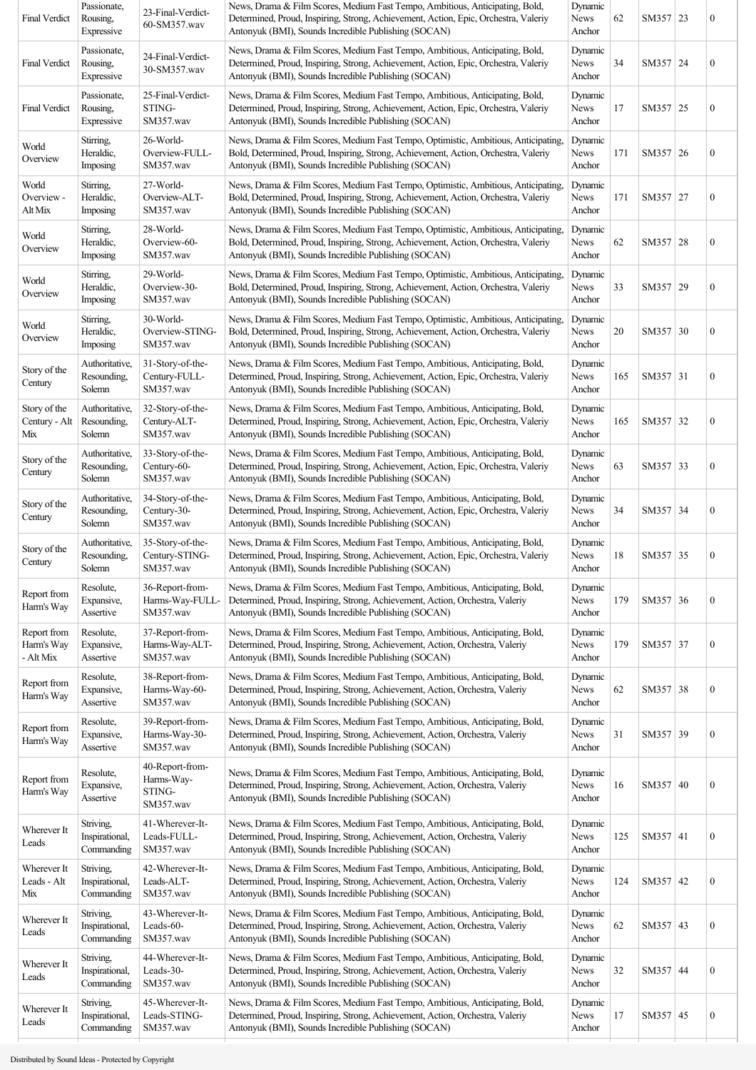| Passionate,<br>Rousing,<br>Expressive     | 23-Final-Verdict-<br>60-SM357.wav                    | News, Drama & Film Scores, Medium Fast Tempo, Ambitious, Anticipating, Bold,<br>Determined, Proud, Inspiring, Strong, Achievement, Action, Epic, Orchestra, Valeriy<br>Antonyuk (BMI), Sounds Incredible Publishing (SOCAN)       | Dynamic<br>News<br>Anchor        | 62  |  | $\boldsymbol{0}$                                                                                                                                                                                                                                                                 |
|-------------------------------------------|------------------------------------------------------|-----------------------------------------------------------------------------------------------------------------------------------------------------------------------------------------------------------------------------------|----------------------------------|-----|--|----------------------------------------------------------------------------------------------------------------------------------------------------------------------------------------------------------------------------------------------------------------------------------|
| Passionate,<br>Rousing,<br>Expressive     | 24-Final-Verdict-<br>30-SM357.wav                    | News, Drama & Film Scores, Medium Fast Tempo, Ambitious, Anticipating, Bold,<br>Determined, Proud, Inspiring, Strong, Achievement, Action, Epic, Orchestra, Valeriy<br>Antonyuk (BMI), Sounds Incredible Publishing (SOCAN)       | Dynamic<br>News<br>Anchor        | 34  |  | $\boldsymbol{0}$                                                                                                                                                                                                                                                                 |
| Passionate,<br>Rousing,<br>Expressive     | 25-Final-Verdict-<br>STING-<br>SM357.wav             | News, Drama & Film Scores, Medium Fast Tempo, Ambitious, Anticipating, Bold,<br>Determined, Proud, Inspiring, Strong, Achievement, Action, Epic, Orchestra, Valeriy<br>Antonyuk (BMI), Sounds Incredible Publishing (SOCAN)       | Dynamic<br>News<br>Anchor        | 17  |  | $\boldsymbol{0}$                                                                                                                                                                                                                                                                 |
| Stirring,<br>Heraldic,<br>Imposing        | 26-World-<br>Overview-FULL-<br>SM357.wav             | News, Drama & Film Scores, Medium Fast Tempo, Optimistic, Ambitious, Anticipating,<br>Bold, Determined, Proud, Inspiring, Strong, Achievement, Action, Orchestra, Valeriy<br>Antonyuk (BMI), Sounds Incredible Publishing (SOCAN) | Dynamic<br>News<br>Anchor        | 171 |  | $\boldsymbol{0}$                                                                                                                                                                                                                                                                 |
| Stirring,<br>Heraldic,<br>Imposing        | 27-World-<br>Overview-ALT-<br>SM357.wav              | News, Drama & Film Scores, Medium Fast Tempo, Optimistic, Ambitious, Anticipating,<br>Bold, Determined, Proud, Inspiring, Strong, Achievement, Action, Orchestra, Valeriy<br>Antonyuk (BMI), Sounds Incredible Publishing (SOCAN) | Dynamic<br>News<br>Anchor        | 171 |  | $\boldsymbol{0}$                                                                                                                                                                                                                                                                 |
| Stirring,<br>Heraldic,<br>Imposing        | 28-World-<br>Overview-60-<br>SM357.wav               | News, Drama & Film Scores, Medium Fast Tempo, Optimistic, Ambitious, Anticipating,<br>Bold, Determined, Proud, Inspiring, Strong, Achievement, Action, Orchestra, Valeriy<br>Antonyuk (BMI), Sounds Incredible Publishing (SOCAN) | Dynamic<br><b>News</b><br>Anchor | 62  |  | $\boldsymbol{0}$                                                                                                                                                                                                                                                                 |
| Stirring,<br>Heraldic,<br>Imposing        | 29-World-<br>Overview-30-<br>SM357.wav               | News, Drama & Film Scores, Medium Fast Tempo, Optimistic, Ambitious, Anticipating,<br>Bold, Determined, Proud, Inspiring, Strong, Achievement, Action, Orchestra, Valeriy<br>Antonyuk (BMI), Sounds Incredible Publishing (SOCAN) | Dynamic<br>News<br>Anchor        | 33  |  | $\boldsymbol{0}$                                                                                                                                                                                                                                                                 |
| Stirring,<br>Heraldic,<br>Imposing        | 30-World-<br>Overview-STING-<br>SM357.wav            | News, Drama & Film Scores, Medium Fast Tempo, Optimistic, Ambitious, Anticipating,<br>Bold, Determined, Proud, Inspiring, Strong, Achievement, Action, Orchestra, Valeriy<br>Antonyuk (BMI), Sounds Incredible Publishing (SOCAN) | Dynamic<br>News<br>Anchor        | 20  |  | $\boldsymbol{0}$                                                                                                                                                                                                                                                                 |
| Authoritative,<br>Resounding,<br>Solemn   | 31-Story-of-the-<br>Century-FULL-<br>SM357.wav       | News, Drama & Film Scores, Medium Fast Tempo, Ambitious, Anticipating, Bold,<br>Determined, Proud, Inspiring, Strong, Achievement, Action, Epic, Orchestra, Valeriy<br>Antonyuk (BMI), Sounds Incredible Publishing (SOCAN)       | Dynamic<br>News<br>Anchor        | 165 |  | $\boldsymbol{0}$                                                                                                                                                                                                                                                                 |
| Authoritative,<br>Resounding,<br>Solemn   | 32-Story-of-the-<br>Century-ALT-<br>SM357.wav        | News, Drama & Film Scores, Medium Fast Tempo, Ambitious, Anticipating, Bold,<br>Determined, Proud, Inspiring, Strong, Achievement, Action, Epic, Orchestra, Valeriy<br>Antonyuk (BMI), Sounds Incredible Publishing (SOCAN)       | Dynamic<br>News<br>Anchor        | 165 |  | $\boldsymbol{0}$                                                                                                                                                                                                                                                                 |
| Authoritative,<br>Resounding,<br>Solemn   | 33-Story-of-the-<br>Century-60-<br>SM357.wav         | News, Drama & Film Scores, Medium Fast Tempo, Ambitious, Anticipating, Bold,<br>Determined, Proud, Inspiring, Strong, Achievement, Action, Epic, Orchestra, Valeriy<br>Antonyuk (BMI), Sounds Incredible Publishing (SOCAN)       | Dynamic<br>News<br>Anchor        | 63  |  | $\boldsymbol{0}$                                                                                                                                                                                                                                                                 |
| Authoritative,<br>Resounding,<br>Solemn   | 34-Story-of-the-<br>Century-30-<br>SM357.wav         | News, Drama & Film Scores, Medium Fast Tempo, Ambitious, Anticipating, Bold,<br>Determined, Proud, Inspiring, Strong, Achievement, Action, Epic, Orchestra, Valeriy<br>Antonyuk (BMI), Sounds Incredible Publishing (SOCAN)       | Dynamic<br>News<br>Anchor        | 34  |  | $\boldsymbol{0}$                                                                                                                                                                                                                                                                 |
| Authoritative,<br>Resounding,<br>Solemn   | 35-Story-of-the-<br>Century-STING-<br>SM357.wav      | News, Drama & Film Scores, Medium Fast Tempo, Ambitious, Anticipating, Bold,<br>Determined, Proud, Inspiring, Strong, Achievement, Action, Epic, Orchestra, Valeriy<br>Antonyuk (BMI), Sounds Incredible Publishing (SOCAN)       | Dynamic<br>News<br>Anchor        | 18  |  | $\boldsymbol{0}$                                                                                                                                                                                                                                                                 |
| Resolute,<br>Expansive,<br>Assertive      | 36-Report-from-<br>Harms-Way-FULL-<br>SM357.wav      | News, Drama & Film Scores, Medium Fast Tempo, Ambitious, Anticipating, Bold,<br>Determined, Proud, Inspiring, Strong, Achievement, Action, Orchestra, Valeriy<br>Antonyuk (BMI), Sounds Incredible Publishing (SOCAN)             | Dynamic<br><b>News</b><br>Anchor | 179 |  | $\boldsymbol{0}$                                                                                                                                                                                                                                                                 |
| Resolute,<br>Expansive,<br>Assertive      | 37-Report-from-<br>Harms-Way-ALT-<br>SM357.wav       | News, Drama & Film Scores, Medium Fast Tempo, Ambitious, Anticipating, Bold,<br>Determined, Proud, Inspiring, Strong, Achievement, Action, Orchestra, Valeriy<br>Antonyuk (BMI), Sounds Incredible Publishing (SOCAN)             | Dynamic<br>News<br>Anchor        | 179 |  | $\boldsymbol{0}$                                                                                                                                                                                                                                                                 |
| Resolute,<br>Expansive,<br>Assertive      | 38-Report-from-<br>Harms-Way-60-<br>SM357.wav        | News, Drama & Film Scores, Medium Fast Tempo, Ambitious, Anticipating, Bold,<br>Determined, Proud, Inspiring, Strong, Achievement, Action, Orchestra, Valeriy<br>Antonyuk (BMI), Sounds Incredible Publishing (SOCAN)             | Dynamic<br>News<br>Anchor        | 62  |  | $\boldsymbol{0}$                                                                                                                                                                                                                                                                 |
| Resolute,<br>Expansive,<br>Assertive      | 39-Report-from-<br>Harms-Way-30-<br>SM357.wav        | News, Drama & Film Scores, Medium Fast Tempo, Ambitious, Anticipating, Bold,<br>Determined, Proud, Inspiring, Strong, Achievement, Action, Orchestra, Valeriy<br>Antonyuk (BMI), Sounds Incredible Publishing (SOCAN)             | Dynamic<br>News<br>Anchor        | 31  |  | $\boldsymbol{0}$                                                                                                                                                                                                                                                                 |
| Resolute,<br>Expansive,<br>Assertive      | 40-Report-from-<br>Harms-Way-<br>STING-<br>SM357.wav | News, Drama & Film Scores, Medium Fast Tempo, Ambitious, Anticipating, Bold,<br>Determined, Proud, Inspiring, Strong, Achievement, Action, Orchestra, Valeriy<br>Antonyuk (BMI), Sounds Incredible Publishing (SOCAN)             | Dynamic<br>News<br>Anchor        | 16  |  | $\boldsymbol{0}$                                                                                                                                                                                                                                                                 |
| Striving,<br>Inspirational,<br>Commanding | 41-Wherever-It-<br>Leads-FULL-<br>SM357.wav          | News, Drama & Film Scores, Medium Fast Tempo, Ambitious, Anticipating, Bold,<br>Determined, Proud, Inspiring, Strong, Achievement, Action, Orchestra, Valeriy<br>Antonyuk (BMI), Sounds Incredible Publishing (SOCAN)             | Dynamic<br>News<br>Anchor        | 125 |  | $\boldsymbol{0}$                                                                                                                                                                                                                                                                 |
| Striving,<br>Inspirational,<br>Commanding | 42-Wherever-It-<br>Leads-ALT-<br>SM357.wav           | News, Drama & Film Scores, Medium Fast Tempo, Ambitious, Anticipating, Bold,<br>Determined, Proud, Inspiring, Strong, Achievement, Action, Orchestra, Valeriy<br>Antonyuk (BMI), Sounds Incredible Publishing (SOCAN)             | Dynamic<br>News<br>Anchor        | 124 |  | $\boldsymbol{0}$                                                                                                                                                                                                                                                                 |
| Striving,<br>Inspirational,<br>Commanding | 43-Wherever-It-<br>Leads-60-<br>SM357.wav            | News, Drama & Film Scores, Medium Fast Tempo, Ambitious, Anticipating, Bold,<br>Determined, Proud, Inspiring, Strong, Achievement, Action, Orchestra, Valeriy<br>Antonyuk (BMI), Sounds Incredible Publishing (SOCAN)             | Dynamic<br>News<br>Anchor        | 62  |  | $\boldsymbol{0}$                                                                                                                                                                                                                                                                 |
| Striving,<br>Inspirational,<br>Commanding | 44-Wherever-It-<br>Leads-30-<br>SM357.wav            | News, Drama & Film Scores, Medium Fast Tempo, Ambitious, Anticipating, Bold,<br>Determined, Proud, Inspiring, Strong, Achievement, Action, Orchestra, Valeriy<br>Antonyuk (BMI), Sounds Incredible Publishing (SOCAN)             | Dynamic<br>News<br>Anchor        | 32  |  | $\boldsymbol{0}$                                                                                                                                                                                                                                                                 |
| Striving,<br>Inspirational,<br>Commanding | 45-Wherever-It-<br>Leads-STING-<br>SM357.wav         | News, Drama & Film Scores, Medium Fast Tempo, Ambitious, Anticipating, Bold,<br>Determined, Proud, Inspiring, Strong, Achievement, Action, Orchestra, Valeriy<br>Antonyuk (BMI), Sounds Incredible Publishing (SOCAN)             | Dynamic<br>News<br>Anchor        | 17  |  | $\boldsymbol{0}$                                                                                                                                                                                                                                                                 |
|                                           |                                                      |                                                                                                                                                                                                                                   |                                  |     |  | SM357 23<br>SM357 24<br>SM357 25<br>SM357 26<br>SM357 27<br>SM357 28<br>SM357 29<br>SM357 30<br>SM357 31<br>SM357 32<br>SM357 33<br>SM357 34<br>SM357 35<br>SM357 36<br>SM357 37<br>SM357 38<br>SM357 39<br>SM357 40<br>SM357 41<br>SM357 42<br>SM357 43<br>SM357 44<br>SM357 45 |